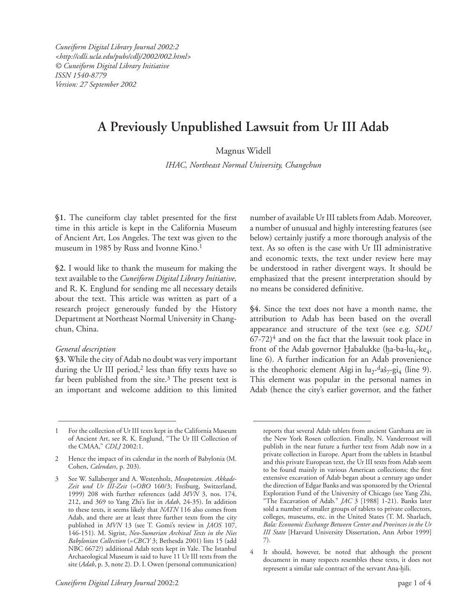*Cuneiform Digital Library Journal 2002:2 <http://cdli.ucla.edu/pubs/cdlj/2002/002.html> © Cuneiform Digital Library Initiative ISSN 1540-8779 Version: 27 September 2002*

# **A Previously Unpublished Lawsuit from Ur III Adab**

Magnus Widell

*IHAC, Northeast Normal University, Changchun*

**§1.** The cuneiform clay tablet presented for the first time in this article is kept in the California Museum of Ancient Art, Los Angeles. The text was given to the museum in 1985 by Russ and Ivonne Kino.<sup>1</sup>

**§2.** I would like to thank the museum for making the text available to the *Cuneiform Digital Library Initiative,*  and R. K. Englund for sending me all necessary details about the text. This article was written as part of a research project generously funded by the History Department at Northeast Normal University in Changchun, China.

### *General description*

**§3.** While the city of Adab no doubt was very important during the Ur III period, $2$  less than fifty texts have so far been published from the site. $3$  The present text is an important and welcome addition to this limited number of available Ur III tablets from Adab. Moreover, a number of unusual and highly interesting features (see below) certainly justify a more thorough analysis of the text. As so often is the case with Ur III administrative and economic texts, the text under review here may be understood in rather divergent ways. It should be emphasized that the present interpretation should by no means be considered definitive.

**§4.** Since the text does not have a month name, the attribution to Adab has been based on the overall appearance and structure of the text (see e.g. *SDU*   $67-72$ <sup>4</sup> and on the fact that the lawsuit took place in front of the Adab governor Habalukke (ha-ba-lu<sub>5</sub>-ke<sub>4</sub>, line 6). A further indication for an Adab provenience is the theophoric element Ašgi in  $\mu_2$ -daš<sub>7</sub>-gi<sub>4</sub> (line 9). This element was popular in the personal names in Adab (hence the city's earlier governor, and the father

<sup>1</sup> For the collection of Ur III texts kept in the California Museum of Ancient Art, see R. K. Englund, "The Ur III Collection of the CMAA," *CDLJ* 2002:1.

<sup>2</sup> Hence the impact of its calendar in the north of Babylonia (M. Cohen, *Calendars*, p. 203).

<sup>3</sup> See W. Sallaberger and A. Westenholz, *Mesopotamien. Akkade-Zeit und Ur III-Zeit* (=*OBO* 160/3; Freiburg, Switzerland, 1999) 208 with further references (add *MVN* 3, nos. 174, 212, and 369 to Yang Zhi's list in *Adab*, 24-35). In addition to these texts, it seems likely that *NATN* 116 also comes from Adab, and there are at least three further texts from the city published in *MVN* 13 (see T. Gomi's review in *JAOS* 107, 146-151). M. Sigrist, *Neo-Sumerian Archival Texts in the Nies Babylonian Collection* (=*CBCY* 3; Bethesda 2001) lists 15 (add NBC 6672?) additional Adab texts kept in Yale. The Istanbul Archaeological Museum is said to have 11 Ur III texts from the site (*Adab*, p. 3, note 2). D. I. Owen (personal communication)

reports that several Adab tablets from ancient Garshana are in the New York Rosen collection. Finally, N. Vanderroost will publish in the near future a further text from Adab now in a private collection in Europe. Apart from the tablets in Istanbul and this private European text, the Ur III texts from Adab seem to be found mainly in various American collections; the first extensive excavation of Adab began about a century ago under the direction of Edgar Banks and was sponsored by the Oriental Exploration Fund of the University of Chicago (see Yang Zhi, "The Excavation of Adab." *JAC* 3 [1988] 1-21). Banks later sold a number of smaller groups of tablets to private collectors, colleges, museums, etc. in the United States (T. M. Sharlach, *Bala: Economic Exchange Between Center and Provinces in the Ur III State* [Harvard University Dissertation, Ann Arbor 1999] 7).

<sup>4</sup> It should, however, be noted that although the present document in many respects resembles these texts, it does not represent a similar sale contract of the servant Ana-hili.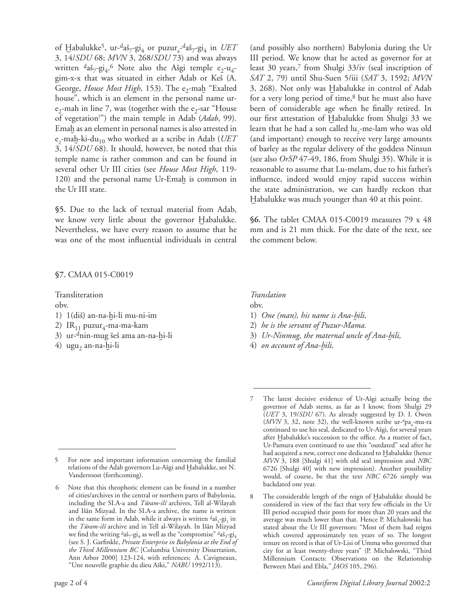of Habalukke<sup>5</sup>, ur-<sup>d</sup>aš<sub>7</sub>-gi<sub>4</sub> or puzur<sub>4</sub>-daš<sub>7</sub>-gi<sub>4</sub> in *UET* 3, 14/*SDU* 68; *MVN* 3, 268/*SDU* 73) and was always written  $d$ aš<sub>7</sub>-gi<sub>4</sub>.<sup>6</sup> Note also the Ašgi temple e<sub>2</sub>-u<sub>4</sub>gim-x-x that was situated in either Adab or Keš (A. George, *House Most High*, 153). The e<sub>2</sub>-mah "Exalted house", which is an element in the personal name ur $e_2$ -mah in line 7, was (together with the  $e_2$ -sar "House of vegetation? ") the main temple in Adab (*Adab*, 99). Emah as an element in personal names is also attested in e<sub>2</sub>-maḫ-ki-du<sub>10</sub> who worked as a scribe in Adab (*UET* 3, 14/*SDU* 68). It should, however, be noted that this temple name is rather common and can be found in several other Ur III cities (see *House Most High*, 119- 120) and the personal name Ur-Emah is common in the Ur III state.

**§5.** Due to the lack of textual material from Adab, we know very little about the governor Habalukke. Nevertheless, we have every reason to assume that he was one of the most influential individuals in central

## **§7.** CMAA 015-C0019

Transliteration

obv.

- 1) 1(diš) an-na-hi-li mu-ni-im
- 2)  $IR<sub>11</sub> puzur<sub>4</sub>-ma-ma-kam$
- 3) ur-<sup>d</sup>nin-mug šeš ama an-na-hi-li
- 4) ugu<sub>2</sub> an-na- $\frac{1}{1}$ i-li

III period. We know that he acted as governor for at least 30 years,<sup>7</sup> from Shulgi 33/iv (seal inscription of *SAT* 2, 79) until Shu-Suen 5/iii (*SAT* 3, 1592; *MVN*  3, 268). Not only was Habalukke in control of Adab for a very long period of time,<sup>8</sup> but he must also have been of considerable age when he finally retired. In our first attestation of Îabalukke from Shulgi 33 we learn that he had a son called  $\ln_2$ -me-lam who was old (and important) enough to receive very large amounts of barley as the regular delivery of the goddess Ninsun (see also *OrSP* 47-49, 186, from Shulgi 35). While it is reasonable to assume that Lu-melam, due to his father's influence, indeed would enjoy rapid success within the state administration, we can hardly reckon that

(and possibly also northern) Babylonia during the Ur

**§6.** The tablet CMAA 015-C0019 measures 79 x 48 mm and is 21 mm thick. For the date of the text, see the comment below.

Habalukke was much younger than 40 at this point.

# *Translation*

- obv.
- 1) *One (man), his name is Ana-Ìili,*
- 2) *he is the servant of Puzur-Mama.*
- 3) *Ur-Ninmug, the maternal uncle of Ana-Ìili,*
- 4) *on account of Ana-Ìili,*

<sup>5</sup> For new and important information concerning the familial relations of the Adab governors Lu-Ašgi and Habalukke, see N. Vanderroost (forthcoming).

Note that this theophoric element can be found in a number of cities/archives in the central or northern parts of Babylonia, including the SI.A-a and *Tūram-ilī* archives, Tell al-Wilayah and Išān Mizyad. In the SI.A-a archive, the name is written in the same form in Adab, while it always is written  $\frac{da\delta_3 - \text{gi}}{2}$ , in the *Tūram-ilī* archive and in Tell al-Wilayah. In Išān Mizyad we find the writing  $d$ aš<sub>7</sub>-gi<sub>4</sub> as well as the "compromise"  $d$ aš<sub>3</sub>-gi<sub>4</sub> (see S. J. Garfinkle, *Private Enterprise in Babylonia at the End of the Third Millennium BC* [Columbia University Dissertation, Ann Arbor 2000] 123-124, with references; A. Cavigneaux, "Une nouvelle graphie du dieu Aški," *NABU* 1992/113).

<sup>7</sup> The latest decisive evidence of Ur-Ašgi actually being the governor of Adab stems, as far as I know, from Shulgi 29 (*UET* 3, 19/*SDU* 67). As already suggested by D. I. Owen  $(MVN 3, 32, note 32)$ , the well-known scribe ur-<sup>d</sup>pa<sub>4</sub>-mu-ra continued to use his seal, dedicated to Ur-Ašgi, for several years after Habalukke's succession to the office. As a matter of fact, Ur-Pamura even continued to use this "outdated" seal after he had acquired a new, correct one dedicated to Habalukke (hence *MVN* 3, 188 [Shulgi 41] with old seal impression and *NBC* 6726 [Shulgi 40] with new impression). Another possibility would, of course, be that the text *NBC* 6726 simply was backdated one year.

<sup>8</sup> The considerable length of the reign of Habalukke should be considered in view of the fact that very few officials in the Ur III period occupied their posts for more than 20 years and the average was much lower than that. Hence P. Michalowski has stated about the Ur III governors: "Most of them had reigns which covered approximately ten years of so. The longest tenure on record is that of Ur-Lisi of Umma who governed that city for at least twenty-three years" (P. Michalowski, "Third Millennium Contacts: Observations on the Relationship Between Mari and Ebla," *JAOS* 105, 296).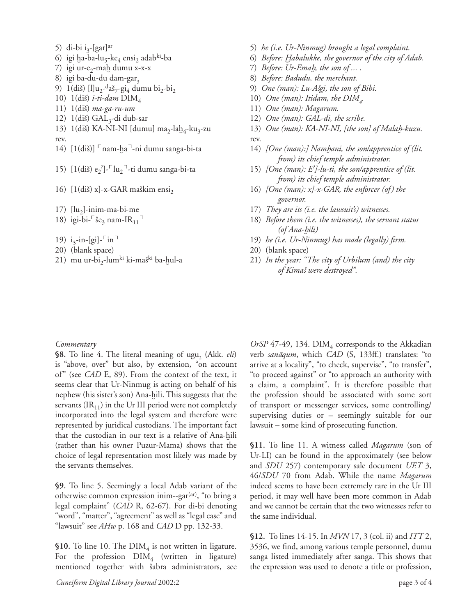5) di-bi i<sub>3</sub>-[gar]<sup>ar</sup>

- 6) igi ha-ba-lu<sub>5</sub>-ke<sub>4</sub> ensi<sub>2</sub> adab<sup>ki</sup>-ba
- 7) igi ur-e<sub>2</sub>-mah dumu x-x-x
- 8) igi ba-du-du dam-gar $_3$
- 9) 1(diš) [l]u<sub>2</sub>-daš<sub>7</sub>-gi<sub>4</sub> dumu bi<sub>2</sub>-bi<sub>2</sub>
- 10) 1(diš) *i-ti-dam* DIM<sub>4</sub>
- 11) 1(diÒ) *ma-ga-ru-um*
- 12) 1(diš) GAL<sub>3</sub>-di dub-sar
- 13) 1(diš) KA-NI-NI [dumu] ma<sub>2</sub>-la $b_4$ -ku<sub>3</sub>-zu rev.
- 14)  $[1(\text{diš})]$  nam-ha<sup>-1</sup>-ni dumu sanga-bi-ta
- 15)  $[1(\text{diš}) e_2^{\cdot}]$ - $\lceil \text{lu}_2 \rceil$ -ti dumu sanga-bi-ta
- 16)  $[1(\text{diš}) \text{ x}]-x-\text{GAR}$  maškim ensi<sub>2</sub>
- 17)  $\left[\mathrm{lu}_2\right]$ -inim-ma-bi-me
- 18) igi-bi- $\frac{E_3}{2}$  nam-IR<sub>11</sub><sup>-1</sup>
- 19) i<sub>3</sub>-in-[gi]- $\lceil$  in<sup>-1</sup>
- 20) (blank space)
- 21) mu ur-bi<sub>2</sub>-lum<sup>ki</sup> ki-maš<sup>ki</sup> ba-hul-a
- 5) *he (i.e. Ur-Ninmug) brought a legal complaint.*
- 6) *Before: Îabalukke, the governor of the city of Adab.*
- 7) *Before: Ur-EmaÌ, the son of ... .*
- 8) *Before: Badudu, the merchant.*
- 9) *One (man): Lu-AÒgi, the son of Bibi.*
- 10) One (man): Itidam, the  $DIM_{\mathcal{A}}$
- 11) *One (man): Magarum.*
- 12) *One (man): GAL-di, the scribe.*
- 13) *One (man): KA-NI-NI, [the son] of MalaÌ-kuzu.*
- rev. 14) *[One (man):] NamÌani, the son/apprentice of (lit.*
- *from) its chief temple administrator.* 15) *[One (man): E? ]-lu-ti, the son/apprentice of (lit. from) its chief temple administrator.*
- 16) *[One (man): x]-x-GAR, the enforcer (of) the governor.*
- 17) *They are its (i.e. the lawsuit's) witnesses.*
- 18) *Before them (i.e. the witnesses), the servant status (of Ana-Ìili)*
- 19) *he (i.e. Ur-Ninmug) has made (legally) firm.*
- 20) (blank space)
- 21) *In the year: "The city of Urbilum (and) the city of KimaÒ were destroyed".*

### *Commentary*

§8. To line 4. The literal meaning of ugu, (Akk. *eli*) is "above, over" but also, by extension, "on account of" (see *CAD* E, 89). From the context of the text, it seems clear that Ur-Ninmug is acting on behalf of his nephew (his sister's son) Ana-hili. This suggests that the servants  $(\text{IR}_{11})$  in the Ur III period were not completely incorporated into the legal system and therefore were represented by juridical custodians. The important fact that the custodian in our text is a relative of Ana-hili (rather than his owner Puzur-Mama) shows that the choice of legal representation most likely was made by the servants themselves.

**§9.** To line 5. Seemingly a local Adab variant of the otherwise common expression inim--gar $(x)$ , "to bring a legal complaint" (*CAD* R, 62-67). For di-bi denoting "word", "matter", "agreement" as well as "legal case" and "lawsuit" see *AHw* p. 168 and *CAD* D pp. 132-33.

**§10.** To line 10. The  $\text{DIM}_4$  is not written in ligature. For the profession  $\text{DIM}_4$  (written in ligature) mentioned together with šabra administrators, see

 $OrSP$  47-49, 134.  $\text{DIM}_4$  corresponds to the Akkadian verb *sanæqum*, which *CAD* (S, 133ff.) translates: "to arrive at a locality", "to check, supervise", "to transfer", "to proceed against" or "to approach an authority with a claim, a complaint". It is therefore possible that the profession should be associated with some sort of transport or messenger services, some controlling/ supervising duties or – seemingly suitable for our lawsuit – some kind of prosecuting function.

**§11.** To line 11. A witness called *Magarum* (son of Ur-LI) can be found in the approximately (see below and *SDU* 257) contemporary sale document *UET* 3, 46/*SDU* 70 from Adab. While the name *Magarum*  indeed seems to have been extremely rare in the Ur III period, it may well have been more common in Adab and we cannot be certain that the two witnesses refer to the same individual.

**§12.**To lines 14-15. In *MVN* 17, 3 (col. ii) and *ITT* 2, 3536, we find, among various temple personnel, dumu sanga listed immediately after sanga. This shows that the expression was used to denote a title or profession,